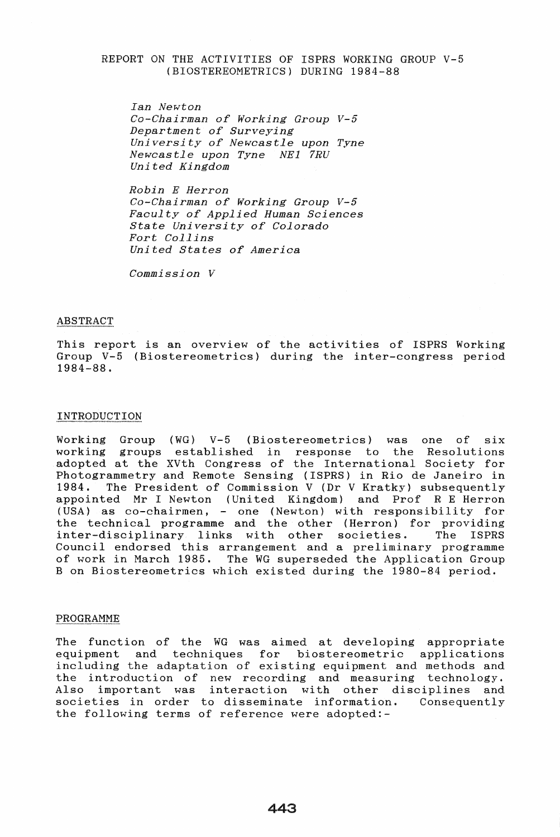### REPORT ON THE ACTIVITIES OF ISPRS WORKING GROUP V-5 (BIOSTEREOMETRICS) DURING 1984-88

*Ian Newton Co-Chairman of Working Group V-5 Department of Surveying University of Newcastle upon Tyne Newcastle upon Tyne NEl 7RU Uni ted Kingdom* 

*Robin E Herron Co-Chairman of Working Group V-5 Faculty of Applied Human Sciences State University of Colorado Fort Collins United States of America* 

*Commission V* 

#### ABSTRACT

This report is an overview of the activities of ISPRS Working Group V-5 (Biostereometrics) during the inter-congress period 1984-88.

### INTRODUCTION

Working Group (WG) V-5 (Biostereometrics) was one of six working groups established in response to the Resolutions adopted at the XVth Congress of the International Society for Photogrammetry and Remote Sensing (ISPRS) in Rio de Janeiro in The President of Commission V (Dr V Kratky) subsequently appointed Mr I Newton (United Kingdom) and Prof R E Herron (USA) as co-chairmen, - one (Newton) with responsibility for the technical programme and the other (Herron) for providing inter-disciplinary links with other societies. The ISPRS Council endorsed this arrangement and a preliminary programme of work in March 1985. The WG superseded the Application Group B on Biostereometrics which existed during the 1980-84 period.

### PROGRAMME

The function of the WG was aimed at developing appropriate equipment and techniques for biostereometric applications including the adaptation of existing equipment and methods and the introduction of new recording and measuring technology. Also important was interaction with other disciplines and societies in order to disseminate information. Consequently the following terms of reference were adopted:-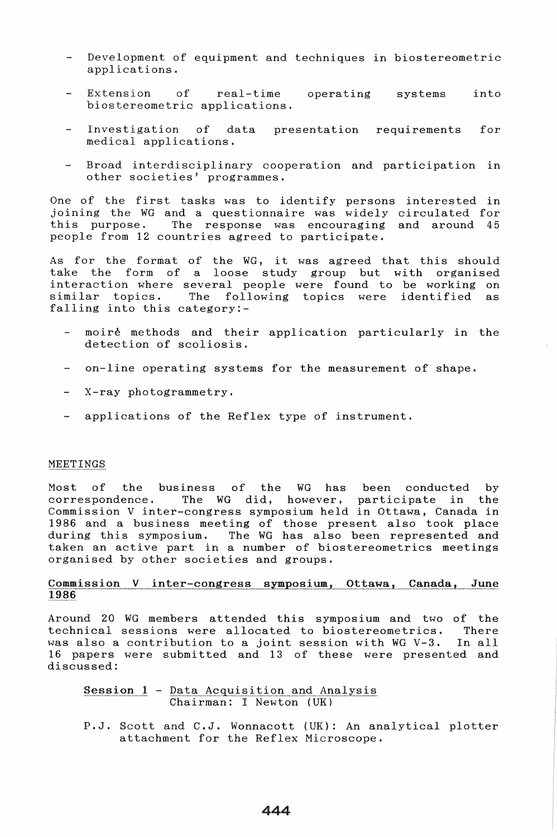- Development of equipment and techniques in biostereometric applications.
- Extension of real-time operating biostereometric applications. systems into
- Investigation of medical applications. presentation requirements for
- Broad interdisciplinary cooperation and participation in other societies' programmes.

One of the first tasks was to identify persons interested in joining the WG and a questionnaire was widely circulated for The response was encouraging and around 45 people from 12 countries agreed to participate.

As for the format of the WG, it was agreed that this should take the form of a loose study group but with organised interaction where several people were found to be working on<br>similar topics. The following topics were identified as following topics were identified as falling into this category:-

- moire methods and their application particularly in the detection of scoliosis.
- on-line operating systems for the measurement of shape.
- X-ray photogrammetry.
- applications of the Reflex type of instrument.

## MEETINGS **......................... "" .................. .**

Most of the business of the WG has been conducted by<br>correspondence. The WG did, however, participate in the The WG did, however, participate in Commission V inter-congress symposium held in Ottawa, Canada in 1986 and a business meeting of those present also took place during this symposium. The WG has also been represented and taken an active part in a number of biostereometrics meetings organised by other societies and groups.

# <u>Commission V inter-congress symposium, Ottawa, Canada, June</u><br>1986

Around 20 WG members attended this symposium and two of the technical sessions were allocated to biostereometrics. There was also a contribution to a joint session with WG V-3. In all was also a contribution to a joint session with WG V-3. In all<br>16 papers were submitted and 13 of these were presented and discussed:

# $Session 1 - Data Acquisition and Analysis\n**Chairman:** I Newton (UK)$ </u>

P.J. Scott and C.J. Wonnacott (UK): An analytical plotter attachment for the Reflex Microscope.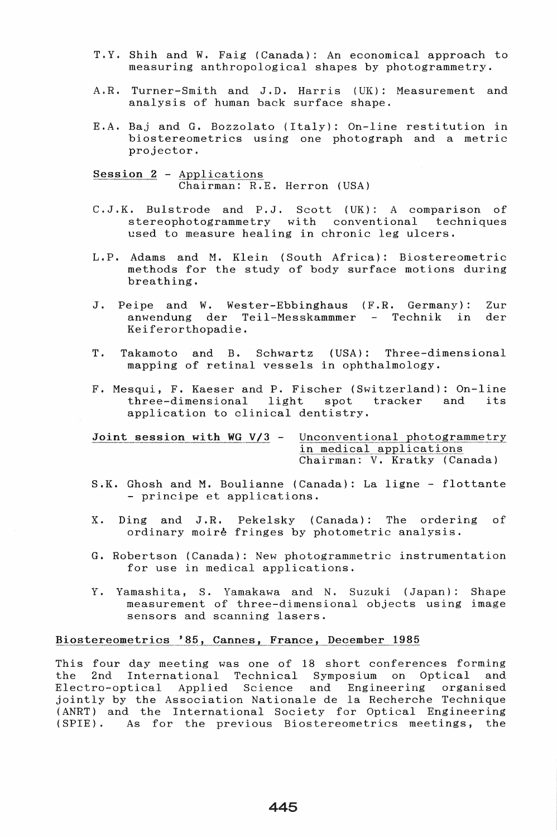- T.Y. Shih and W. Faig (Canada): An economical approach to measuring anthropological shapes by photogrammetry.
- Turner-Smith and J.D. Harris (UK): Measurement and  $A$ . R. analysis of human back surface shape.
- E.A. Baj and G. Bozzolato (Italy): On-line restitution in biostereometrics using one photograph and a metric projector.

Session 2 - Applications Chairman: R.E. Herron (USA)

- C.J.K. Bulstrode and P.J. Scott (UK): A comparison of stereophotogrammetry with conventional techniques used to measure healing in chronic leg ulcers.
- L.P. Adams and M. Klein (South Africa): Biostereometric methods for the study of body surface motions during breathing.
- $J$ . Peipe and W. Wester-Ebbinghaus (F.R. Germany): Zur anwendung der Teil-Messkammmer - Technik in der Keiferorthopadie.
- $(USA):$ T. Takamoto and B. Schwartz Three-dimensional mapping of retinal vessels in ophthalmology.
- F. Mesqui, F. Kaeser and P. Fischer (Switzerland): On-line three-dimensional light spot tracker and its application to clinical dentistry.

Joint session with WG  $V/3$  -

Unconventional photogrammetry in medical applications Chairman: V. Kratky (Canada)

- S.K. Ghosh and M. Boulianne (Canada): La ligne flottante - principe et applications.
- X. Ding and J.R. Pekelsky (Canada): The ordering of ordinary moire fringes by photometric analysis.
- G. Robertson (Canada): New photogrammetric instrumentation for use in medical applications.
- Y. Yamashita, S. Yamakawa and N. Suzuki (Japan): Shape measurement of three-dimensional objects using image sensors and scanning lasers.

## Biostereometrics '85, Cannes, France, December 1985

This four day meeting was one of 18 short conferences forming the 2nd International Technical Symposium on Optical and Applied Science and Engineering organised Electro-optical jointly by the Association Nationale de la Recherche Technique (ANRT) and the International Society for Optical Engineering  $(SPIE)$ . As for the previous Biostereometrics meetings, the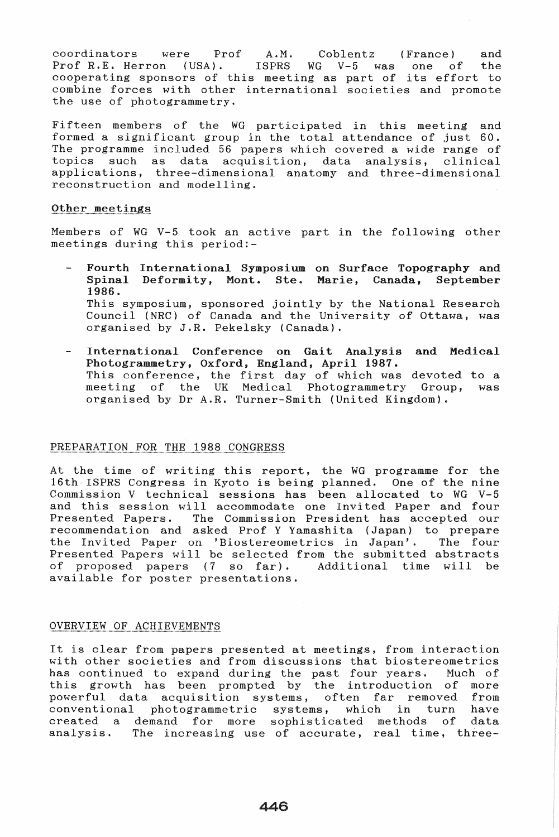coordinators were Prof A.M. Coblentz (France) and<br>Prof R.E. Herron (USA), ISPRS WG V-5 was one of the Prof R.E. Herron (USA). ISPRS WG V-5 was one of cooperating sponsors of this meeting as part of its effort to combine forces with other international societies and promote the use of photogrammetry.

Fifteen members of the WG participated in this meeting and formed a significant group in the total attendance of just 60. The programme included 56 papers which covered a wide range of topics such as data acquisition. data analysis. clinical data acquisition, data analysis, clinical applications, three-dimensional anatomy and three-dimensional reconstruction and modelling.

### Other meetings

Members of WG V-5 took an active part in the following other meetings during this period:-

- Fourth International Symposium on Surface Topography and Spinal Deformity, Mont. Ste. Marie, Canada, September 1986. This symposium, sponsored jointly by the National Research Council (NRC) of Canada and the University of Ottawa, was organised by J.R. Pekelsky (Canada).
- International Conference on Gait Analysis and Medical Photogrammetry, Oxford, England, April 1987. This conference, the first day of which was devoted to a meeting of the UK Medical Photogrammetry Group, was organised by Dr A.R. Turner-Smith (United Kingdom).

### PREPARATION FOR THE 1988 CONGRESS

At the time of writing this report, the WG programme for the 16th ISPRS Congress in Kyoto is being planned. One of the nine Commission V technical sessions has been allocated to WG V-5 and this session will accommodate one Invi ted Paper and four Presented Papers. The Commission President has accepted our recommendation and asked Prof Y Yamashita (Japan) to prepare<br>the Invited Paper on 'Biostereometrics in Japan'. The four the Invited Paper on 'Biostereometrics in Japan'. Presented Papers will be selected from the submitted abstracts<br>of proposed papers (7 so far). Additional time will be of proposed papers  $(7 \text{ so } far)$ . available for poster presentations.

### OVERVIEW OF ACHIEVEMENTS

It is clear from papers presented at meetings, from interaction with other societies and from discussions that biostereometrics has continued to expand during the past four years. Much of this growth has been prompted by the introduction of more this growth has been prompted by the introduction of more powerful data acquisition systems, often far removed from conventional photogrammetric systems, which in turn have created a demand for more sophisticated methods of data analysis. The increasing use of accurate, real time, three